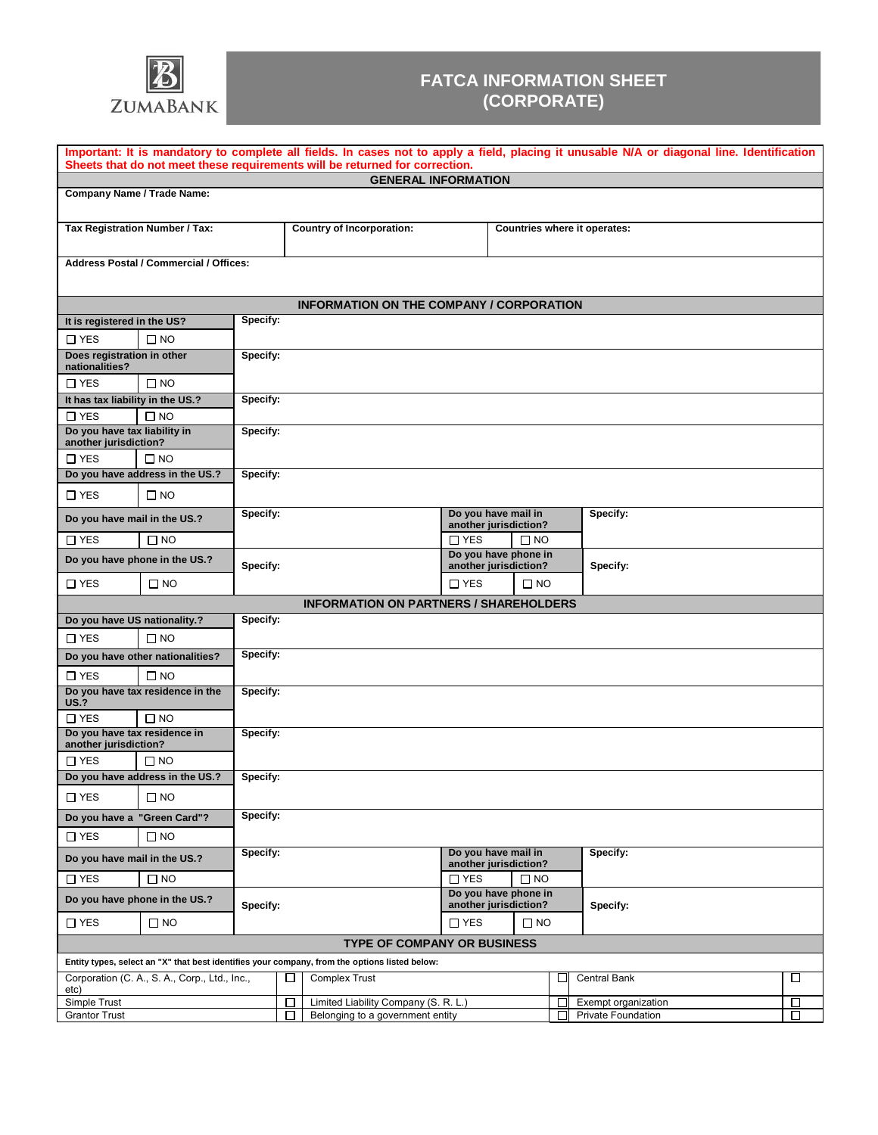

## **FATCA INFORMATION SHEET (CORPORATE)**

| Important: It is mandatory to complete all fields. In cases not to apply a field, placing it unusable N/A or diagonal line. Identification<br>Sheets that do not meet these requirements will be returned for correction. |                                               |          |  |                                                                                               |                                               |                                               |              |                          |                           |   |  |  |
|---------------------------------------------------------------------------------------------------------------------------------------------------------------------------------------------------------------------------|-----------------------------------------------|----------|--|-----------------------------------------------------------------------------------------------|-----------------------------------------------|-----------------------------------------------|--------------|--------------------------|---------------------------|---|--|--|
|                                                                                                                                                                                                                           |                                               |          |  | <b>GENERAL INFORMATION</b>                                                                    |                                               |                                               |              |                          |                           |   |  |  |
|                                                                                                                                                                                                                           | <b>Company Name / Trade Name:</b>             |          |  |                                                                                               |                                               |                                               |              |                          |                           |   |  |  |
| <b>Tax Registration Number / Tax:</b>                                                                                                                                                                                     |                                               |          |  | <b>Country of Incorporation:</b>                                                              |                                               | Countries where it operates:                  |              |                          |                           |   |  |  |
|                                                                                                                                                                                                                           | <b>Address Postal / Commercial / Offices:</b> |          |  |                                                                                               |                                               |                                               |              |                          |                           |   |  |  |
|                                                                                                                                                                                                                           |                                               |          |  | <b>INFORMATION ON THE COMPANY / CORPORATION</b>                                               |                                               |                                               |              |                          |                           |   |  |  |
| It is registered in the US?                                                                                                                                                                                               |                                               | Specify: |  |                                                                                               |                                               |                                               |              |                          |                           |   |  |  |
| $\Box$ YES                                                                                                                                                                                                                | $\square$ NO                                  |          |  |                                                                                               |                                               |                                               |              |                          |                           |   |  |  |
| Does registration in other<br>nationalities?                                                                                                                                                                              |                                               | Specify: |  |                                                                                               |                                               |                                               |              |                          |                           |   |  |  |
| $\square$ YES                                                                                                                                                                                                             | $\square$ NO                                  |          |  |                                                                                               |                                               |                                               |              |                          |                           |   |  |  |
| It has tax liability in the US.?                                                                                                                                                                                          |                                               | Specify: |  |                                                                                               |                                               |                                               |              |                          |                           |   |  |  |
| $\Box$ YES                                                                                                                                                                                                                | $\square$ NO                                  |          |  |                                                                                               |                                               |                                               |              |                          |                           |   |  |  |
| Do you have tax liability in<br>Specify:<br>another jurisdiction?                                                                                                                                                         |                                               |          |  |                                                                                               |                                               |                                               |              |                          |                           |   |  |  |
| $\Box$ YES                                                                                                                                                                                                                | $\square$ NO                                  |          |  |                                                                                               |                                               |                                               |              |                          |                           |   |  |  |
|                                                                                                                                                                                                                           | Do you have address in the US.?               | Specify: |  |                                                                                               |                                               |                                               |              |                          |                           |   |  |  |
| $\Box$ YES                                                                                                                                                                                                                | $\Box$ NO                                     |          |  |                                                                                               |                                               |                                               |              |                          |                           |   |  |  |
| Do you have mail in the US.?                                                                                                                                                                                              |                                               | Specify: |  |                                                                                               |                                               | Do you have mail in<br>another jurisdiction?  |              |                          | Specify:                  |   |  |  |
| $\Box$ YES                                                                                                                                                                                                                | $\square$ NO                                  |          |  |                                                                                               | $\Box$ YES                                    | $\square$ NO                                  |              |                          |                           |   |  |  |
| Do you have phone in the US.?                                                                                                                                                                                             |                                               | Specify: |  |                                                                                               |                                               | Do you have phone in<br>another jurisdiction? |              |                          | Specify:                  |   |  |  |
| $\Box$ YES                                                                                                                                                                                                                | $\square$ NO                                  |          |  |                                                                                               | $\Box$ YES                                    |                                               | $\square$ NO |                          |                           |   |  |  |
| <b>INFORMATION ON PARTNERS / SHAREHOLDERS</b>                                                                                                                                                                             |                                               |          |  |                                                                                               |                                               |                                               |              |                          |                           |   |  |  |
| Do you have US nationality.?                                                                                                                                                                                              | Specify:                                      |          |  |                                                                                               |                                               |                                               |              |                          |                           |   |  |  |
| $\Box$ YES                                                                                                                                                                                                                | $\Box$ NO                                     |          |  |                                                                                               |                                               |                                               |              |                          |                           |   |  |  |
|                                                                                                                                                                                                                           | Do you have other nationalities?              | Specify: |  |                                                                                               |                                               |                                               |              |                          |                           |   |  |  |
| $\Box$ YES                                                                                                                                                                                                                | $\Box$ NO                                     |          |  |                                                                                               |                                               |                                               |              |                          |                           |   |  |  |
| Do you have tax residence in the<br><b>US.?</b>                                                                                                                                                                           |                                               | Specify: |  |                                                                                               |                                               |                                               |              |                          |                           |   |  |  |
| $\Box$ YES                                                                                                                                                                                                                | $\Box$ NO                                     |          |  |                                                                                               |                                               |                                               |              |                          |                           |   |  |  |
| Do you have tax residence in<br>Specify:<br>another jurisdiction?                                                                                                                                                         |                                               |          |  |                                                                                               |                                               |                                               |              |                          |                           |   |  |  |
| $\Box$ YES                                                                                                                                                                                                                | $\square$ NO                                  |          |  |                                                                                               |                                               |                                               |              |                          |                           |   |  |  |
|                                                                                                                                                                                                                           | Do you have address in the US.?               | Specify: |  |                                                                                               |                                               |                                               |              |                          |                           |   |  |  |
| $\Box$ YES                                                                                                                                                                                                                | $\square$ NO                                  |          |  |                                                                                               |                                               |                                               |              |                          |                           |   |  |  |
|                                                                                                                                                                                                                           | Do you have a "Green Card"?                   | Specify: |  |                                                                                               |                                               |                                               |              |                          |                           |   |  |  |
| $\Box$ YES                                                                                                                                                                                                                | $\square$ NO                                  |          |  |                                                                                               |                                               |                                               |              |                          |                           |   |  |  |
| Specify:<br>Do you have mail in the US.?                                                                                                                                                                                  |                                               |          |  | Do you have mail in<br>another jurisdiction?                                                  |                                               |                                               |              | Specify:                 |                           |   |  |  |
| $\square$ YES<br>$\square$ NO                                                                                                                                                                                             |                                               |          |  |                                                                                               | $\Box$ YES<br>$\square$ NO                    |                                               |              |                          |                           |   |  |  |
| Do you have phone in the US.?                                                                                                                                                                                             |                                               | Specify: |  |                                                                                               | Do you have phone in<br>another jurisdiction? |                                               |              | Specify:                 |                           |   |  |  |
| $\square$ NO<br>$\square$ YES                                                                                                                                                                                             |                                               |          |  |                                                                                               | $\Box$ YES                                    |                                               | $\square$ NO |                          |                           |   |  |  |
| <b>TYPE OF COMPANY OR BUSINESS</b>                                                                                                                                                                                        |                                               |          |  |                                                                                               |                                               |                                               |              |                          |                           |   |  |  |
|                                                                                                                                                                                                                           |                                               |          |  | Entity types, select an "X" that best identifies your company, from the options listed below: |                                               |                                               |              |                          |                           |   |  |  |
| Corporation (C. A., S. A., Corp., Ltd., Inc.,<br>etc)                                                                                                                                                                     |                                               |          |  | <b>Complex Trust</b><br>□                                                                     |                                               |                                               |              | $\overline{\phantom{a}}$ | Central Bank              | □ |  |  |
| Simple Trust                                                                                                                                                                                                              |                                               |          |  | Limited Liability Company (S. R. L.)<br>□                                                     |                                               |                                               |              | П                        | Exempt organization       | □ |  |  |
| <b>Grantor Trust</b>                                                                                                                                                                                                      |                                               |          |  | Belonging to a government entity                                                              |                                               |                                               |              | П                        | <b>Private Foundation</b> | П |  |  |